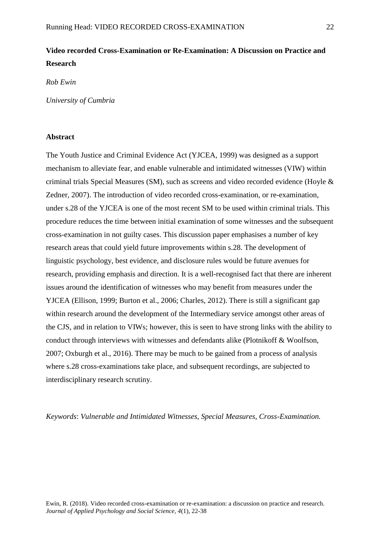# **Video recorded Cross-Examination or Re-Examination: A Discussion on Practice and Research**

*Rob Ewin*

*University of Cumbria*

# **Abstract**

The Youth Justice and Criminal Evidence Act (YJCEA, 1999) was designed as a support mechanism to alleviate fear, and enable vulnerable and intimidated witnesses (VIW) within criminal trials Special Measures (SM), such as screens and video recorded evidence (Hoyle & Zedner, 2007). The introduction of video recorded cross-examination, or re-examination, under s.28 of the YJCEA is one of the most recent SM to be used within criminal trials. This procedure reduces the time between initial examination of some witnesses and the subsequent cross-examination in not guilty cases. This discussion paper emphasises a number of key research areas that could yield future improvements within s.28. The development of linguistic psychology, best evidence, and disclosure rules would be future avenues for research, providing emphasis and direction. It is a well-recognised fact that there are inherent issues around the identification of witnesses who may benefit from measures under the YJCEA (Ellison, 1999; Burton et al., 2006; Charles, 2012). There is still a significant gap within research around the development of the Intermediary service amongst other areas of the CJS, and in relation to VIWs; however, this is seen to have strong links with the ability to conduct through interviews with witnesses and defendants alike (Plotnikoff & Woolfson, 2007; Oxburgh et al., 2016). There may be much to be gained from a process of analysis where s.28 cross-examinations take place, and subsequent recordings, are subjected to interdisciplinary research scrutiny.

*Keywords*: *Vulnerable and Intimidated Witnesses, Special Measures, Cross-Examination.*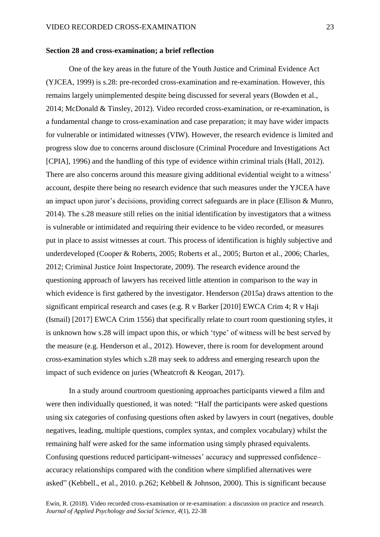### **Section 28 and cross-examination; a brief reflection**

One of the key areas in the future of the Youth Justice and Criminal Evidence Act (YJCEA, 1999) is s.28: pre-recorded cross-examination and re-examination. However, this remains largely unimplemented despite being discussed for several years (Bowden et al., 2014; McDonald & Tinsley, 2012). Video recorded cross-examination, or re-examination, is a fundamental change to cross-examination and case preparation; it may have wider impacts for vulnerable or intimidated witnesses (VIW). However, the research evidence is limited and progress slow due to concerns around disclosure (Criminal Procedure and Investigations Act [CPIA], 1996) and the handling of this type of evidence within criminal trials (Hall, 2012). There are also concerns around this measure giving additional evidential weight to a witness' account, despite there being no research evidence that such measures under the YJCEA have an impact upon juror's decisions, providing correct safeguards are in place (Ellison & Munro, 2014). The s.28 measure still relies on the initial identification by investigators that a witness is vulnerable or intimidated and requiring their evidence to be video recorded, or measures put in place to assist witnesses at court. This process of identification is highly subjective and underdeveloped (Cooper & Roberts, 2005; Roberts et al., 2005; Burton et al., 2006; Charles, 2012; Criminal Justice Joint Inspectorate, 2009). The research evidence around the questioning approach of lawyers has received little attention in comparison to the way in which evidence is first gathered by the investigator. Henderson (2015a) draws attention to the significant empirical research and cases (e.g. R v Barker [2010] EWCA Crim 4; R v Haji (Ismail) [2017] EWCA Crim 1556) that specifically relate to court room questioning styles, it is unknown how s.28 will impact upon this, or which 'type' of witness will be best served by the measure (e.g. Henderson et al., 2012). However, there is room for development around cross-examination styles which s.28 may seek to address and emerging research upon the impact of such evidence on juries (Wheatcroft & Keogan, 2017).

In a study around courtroom questioning approaches participants viewed a film and were then individually questioned, it was noted: "Half the participants were asked questions using six categories of confusing questions often asked by lawyers in court (negatives, double negatives, leading, multiple questions, complex syntax, and complex vocabulary) whilst the remaining half were asked for the same information using simply phrased equivalents. Confusing questions reduced participant-witnesses' accuracy and suppressed confidence– accuracy relationships compared with the condition where simplified alternatives were asked" (Kebbell., et al., 2010. p.262; Kebbell & Johnson, 2000). This is significant because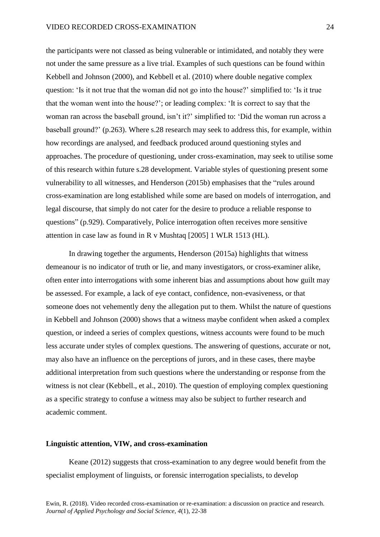the participants were not classed as being vulnerable or intimidated, and notably they were not under the same pressure as a live trial. Examples of such questions can be found within Kebbell and Johnson (2000), and Kebbell et al. (2010) where double negative complex question: 'Is it not true that the woman did not go into the house?' simplified to: 'Is it true that the woman went into the house?'; or leading complex: 'It is correct to say that the woman ran across the baseball ground, isn't it?' simplified to: 'Did the woman run across a baseball ground?' (p.263). Where s.28 research may seek to address this, for example, within how recordings are analysed, and feedback produced around questioning styles and approaches. The procedure of questioning, under cross-examination, may seek to utilise some of this research within future s.28 development. Variable styles of questioning present some vulnerability to all witnesses, and Henderson (2015b) emphasises that the "rules around cross-examination are long established while some are based on models of interrogation, and legal discourse, that simply do not cater for the desire to produce a reliable response to questions" (p.929). Comparatively, Police interrogation often receives more sensitive attention in case law as found in R v Mushtaq [2005] 1 WLR 1513 (HL).

In drawing together the arguments, Henderson (2015a) highlights that witness demeanour is no indicator of truth or lie, and many investigators, or cross-examiner alike, often enter into interrogations with some inherent bias and assumptions about how guilt may be assessed. For example, a lack of eye contact, confidence, non-evasiveness, or that someone does not vehemently deny the allegation put to them. Whilst the nature of questions in Kebbell and Johnson (2000) shows that a witness maybe confident when asked a complex question, or indeed a series of complex questions, witness accounts were found to be much less accurate under styles of complex questions. The answering of questions, accurate or not, may also have an influence on the perceptions of jurors, and in these cases, there maybe additional interpretation from such questions where the understanding or response from the witness is not clear (Kebbell., et al., 2010). The question of employing complex questioning as a specific strategy to confuse a witness may also be subject to further research and academic comment.

#### **Linguistic attention, VIW, and cross-examination**

Keane (2012) suggests that cross-examination to any degree would benefit from the specialist employment of linguists, or forensic interrogation specialists, to develop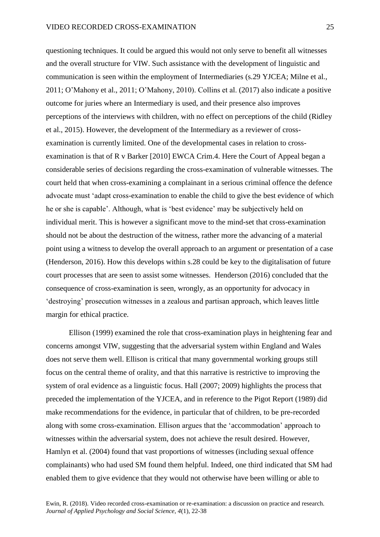questioning techniques. It could be argued this would not only serve to benefit all witnesses and the overall structure for VIW. Such assistance with the development of linguistic and communication is seen within the employment of Intermediaries (s.29 YJCEA; Milne et al., 2011; O'Mahony et al., 2011; O'Mahony, 2010). Collins et al. (2017) also indicate a positive outcome for juries where an Intermediary is used, and their presence also improves perceptions of the interviews with children, with no effect on perceptions of the child (Ridley et al., 2015). However, the development of the Intermediary as a reviewer of crossexamination is currently limited. One of the developmental cases in relation to crossexamination is that of R v Barker [2010] EWCA Crim.4. Here the Court of Appeal began a considerable series of decisions regarding the cross-examination of vulnerable witnesses. The court held that when cross-examining a complainant in a serious criminal offence the defence advocate must 'adapt cross-examination to enable the child to give the best evidence of which he or she is capable'. Although, what is 'best evidence' may be subjectively held on individual merit. This is however a significant move to the mind-set that cross-examination should not be about the destruction of the witness, rather more the advancing of a material point using a witness to develop the overall approach to an argument or presentation of a case (Henderson, 2016). How this develops within s.28 could be key to the digitalisation of future court processes that are seen to assist some witnesses. Henderson (2016) concluded that the consequence of cross-examination is seen, wrongly, as an opportunity for advocacy in 'destroying' prosecution witnesses in a zealous and partisan approach, which leaves little margin for ethical practice.

Ellison (1999) examined the role that cross-examination plays in heightening fear and concerns amongst VIW, suggesting that the adversarial system within England and Wales does not serve them well. Ellison is critical that many governmental working groups still focus on the central theme of orality, and that this narrative is restrictive to improving the system of oral evidence as a linguistic focus. Hall (2007; 2009) highlights the process that preceded the implementation of the YJCEA, and in reference to the Pigot Report (1989) did make recommendations for the evidence, in particular that of children, to be pre-recorded along with some cross-examination. Ellison argues that the 'accommodation' approach to witnesses within the adversarial system, does not achieve the result desired. However, Hamlyn et al. (2004) found that vast proportions of witnesses (including sexual offence complainants) who had used SM found them helpful. Indeed, one third indicated that SM had enabled them to give evidence that they would not otherwise have been willing or able to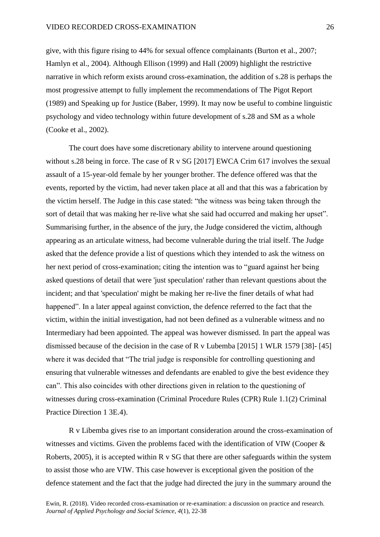give, with this figure rising to 44% for sexual offence complainants (Burton et al., 2007; Hamlyn et al., 2004). Although Ellison (1999) and Hall (2009) highlight the restrictive narrative in which reform exists around cross-examination, the addition of s.28 is perhaps the most progressive attempt to fully implement the recommendations of The Pigot Report (1989) and Speaking up for Justice (Baber, 1999). It may now be useful to combine linguistic psychology and video technology within future development of s.28 and SM as a whole (Cooke et al., 2002).

The court does have some discretionary ability to intervene around questioning without s.28 being in force. The case of R v SG [2017] EWCA Crim 617 involves the sexual assault of a 15-year-old female by her younger brother. The defence offered was that the events, reported by the victim, had never taken place at all and that this was a fabrication by the victim herself. The Judge in this case stated: "the witness was being taken through the sort of detail that was making her re-live what she said had occurred and making her upset". Summarising further, in the absence of the jury, the Judge considered the victim, although appearing as an articulate witness, had become vulnerable during the trial itself. The Judge asked that the defence provide a list of questions which they intended to ask the witness on her next period of cross-examination; citing the intention was to "guard against her being asked questions of detail that were 'just speculation' rather than relevant questions about the incident; and that 'speculation' might be making her re-live the finer details of what had happened". In a later appeal against conviction, the defence referred to the fact that the victim, within the initial investigation, had not been defined as a vulnerable witness and no Intermediary had been appointed. The appeal was however dismissed. In part the appeal was dismissed because of the decision in the case of R v Lubemba [2015] 1 WLR 1579 [38]- [45] where it was decided that "The trial judge is responsible for controlling questioning and ensuring that vulnerable witnesses and defendants are enabled to give the best evidence they can". This also coincides with other directions given in relation to the questioning of witnesses during cross-examination (Criminal Procedure Rules (CPR) Rule 1.1(2) Criminal Practice Direction 1 3E.4).

R v Libemba gives rise to an important consideration around the cross-examination of witnesses and victims. Given the problems faced with the identification of VIW (Cooper & Roberts, 2005), it is accepted within R v SG that there are other safeguards within the system to assist those who are VIW. This case however is exceptional given the position of the defence statement and the fact that the judge had directed the jury in the summary around the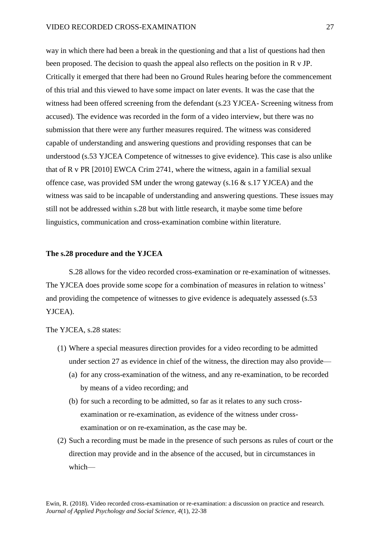way in which there had been a break in the questioning and that a list of questions had then been proposed. The decision to quash the appeal also reflects on the position in R v JP. Critically it emerged that there had been no Ground Rules hearing before the commencement of this trial and this viewed to have some impact on later events. It was the case that the witness had been offered screening from the defendant (s.23 YJCEA- Screening witness from accused). The evidence was recorded in the form of a video interview, but there was no submission that there were any further measures required. The witness was considered capable of understanding and answering questions and providing responses that can be understood (s.53 YJCEA Competence of witnesses to give evidence). This case is also unlike that of R v PR [2010] EWCA Crim 2741, where the witness, again in a familial sexual offence case, was provided SM under the wrong gateway (s.16  $\&$  s.17 YJCEA) and the witness was said to be incapable of understanding and answering questions. These issues may still not be addressed within s.28 but with little research, it maybe some time before linguistics, communication and cross-examination combine within literature.

#### **The s.28 procedure and the YJCEA**

S.28 allows for the video recorded cross-examination or re-examination of witnesses. The YJCEA does provide some scope for a combination of measures in relation to witness' and providing the competence of witnesses to give evidence is adequately assessed (s.53 YJCEA).

The YJCEA, s.28 states:

- (1) Where a special measures direction provides for a video recording to be admitted under section 27 as evidence in chief of the witness, the direction may also provide—
	- (a) for any cross-examination of the witness, and any re-examination, to be recorded by means of a video recording; and
	- (b) for such a recording to be admitted, so far as it relates to any such crossexamination or re-examination, as evidence of the witness under crossexamination or on re-examination, as the case may be.
- (2) Such a recording must be made in the presence of such persons as rules of court or the direction may provide and in the absence of the accused, but in circumstances in which—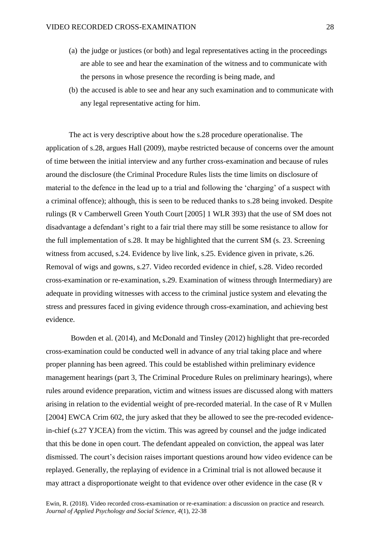- (a) the judge or justices (or both) and legal representatives acting in the proceedings are able to see and hear the examination of the witness and to communicate with the persons in whose presence the recording is being made, and
- (b) the accused is able to see and hear any such examination and to communicate with any legal representative acting for him.

The act is very descriptive about how the s.28 procedure operationalise. The application of s.28, argues Hall (2009), maybe restricted because of concerns over the amount of time between the initial interview and any further cross-examination and because of rules around the disclosure (the Criminal Procedure Rules lists the time limits on disclosure of material to the defence in the lead up to a trial and following the 'charging' of a suspect with a criminal offence); although, this is seen to be reduced thanks to s.28 being invoked. Despite rulings (R v Camberwell Green Youth Court [2005] 1 WLR 393) that the use of SM does not disadvantage a defendant's right to a fair trial there may still be some resistance to allow for the full implementation of s.28. It may be highlighted that the current SM (s. 23. Screening witness from accused, s.24. Evidence by live link, s.25. Evidence given in private, s.26. Removal of wigs and gowns, s.27. Video recorded evidence in chief, s.28. Video recorded cross-examination or re-examination, s.29. Examination of witness through Intermediary) are adequate in providing witnesses with access to the criminal justice system and elevating the stress and pressures faced in giving evidence through cross-examination, and achieving best evidence.

Bowden et al. (2014), and McDonald and Tinsley (2012) highlight that pre-recorded cross-examination could be conducted well in advance of any trial taking place and where proper planning has been agreed. This could be established within preliminary evidence management hearings (part 3, The Criminal Procedure Rules on preliminary hearings), where rules around evidence preparation, victim and witness issues are discussed along with matters arising in relation to the evidential weight of pre-recorded material. In the case of R v Mullen [2004] EWCA Crim 602, the jury asked that they be allowed to see the pre-recoded evidencein-chief (s.27 YJCEA) from the victim. This was agreed by counsel and the judge indicated that this be done in open court. The defendant appealed on conviction, the appeal was later dismissed. The court's decision raises important questions around how video evidence can be replayed. Generally, the replaying of evidence in a Criminal trial is not allowed because it may attract a disproportionate weight to that evidence over other evidence in the case (R v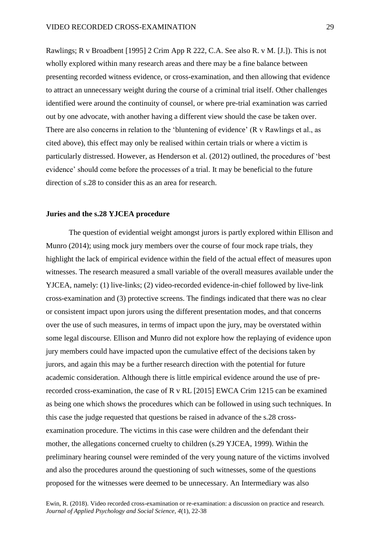Rawlings; R v Broadbent [1995] 2 Crim App R 222, C.A. See also R. v M. [J.]). This is not wholly explored within many research areas and there may be a fine balance between presenting recorded witness evidence, or cross-examination, and then allowing that evidence to attract an unnecessary weight during the course of a criminal trial itself. Other challenges identified were around the continuity of counsel, or where pre-trial examination was carried out by one advocate, with another having a different view should the case be taken over. There are also concerns in relation to the 'bluntening of evidence' (R v Rawlings et al., as cited above), this effect may only be realised within certain trials or where a victim is particularly distressed. However, as Henderson et al. (2012) outlined, the procedures of 'best evidence' should come before the processes of a trial. It may be beneficial to the future direction of s.28 to consider this as an area for research.

# **Juries and the s.28 YJCEA procedure**

The question of evidential weight amongst jurors is partly explored within Ellison and Munro (2014); using mock jury members over the course of four mock rape trials, they highlight the lack of empirical evidence within the field of the actual effect of measures upon witnesses. The research measured a small variable of the overall measures available under the YJCEA, namely: (1) live-links; (2) video-recorded evidence-in-chief followed by live-link cross-examination and (3) protective screens. The findings indicated that there was no clear or consistent impact upon jurors using the different presentation modes, and that concerns over the use of such measures, in terms of impact upon the jury, may be overstated within some legal discourse. Ellison and Munro did not explore how the replaying of evidence upon jury members could have impacted upon the cumulative effect of the decisions taken by jurors, and again this may be a further research direction with the potential for future academic consideration. Although there is little empirical evidence around the use of prerecorded cross-examination, the case of R v RL [2015] EWCA Crim 1215 can be examined as being one which shows the procedures which can be followed in using such techniques. In this case the judge requested that questions be raised in advance of the s.28 crossexamination procedure. The victims in this case were children and the defendant their mother, the allegations concerned cruelty to children (s.29 YJCEA, 1999). Within the preliminary hearing counsel were reminded of the very young nature of the victims involved and also the procedures around the questioning of such witnesses, some of the questions proposed for the witnesses were deemed to be unnecessary. An Intermediary was also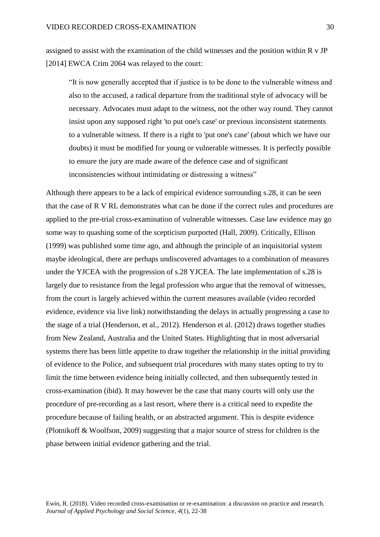assigned to assist with the examination of the child witnesses and the position within R v JP [2014] EWCA Crim 2064 was relayed to the court:

"It is now generally accepted that if justice is to be done to the vulnerable witness and also to the accused, a radical departure from the traditional style of advocacy will be necessary. Advocates must adapt to the witness, not the other way round. They cannot insist upon any supposed right 'to put one's case' or previous inconsistent statements to a vulnerable witness. If there is a right to 'put one's case' (about which we have our doubts) it must be modified for young or vulnerable witnesses. It is perfectly possible to ensure the jury are made aware of the defence case and of significant inconsistencies without intimidating or distressing a witness"

Although there appears to be a lack of empirical evidence surrounding s.28, it can be seen that the case of R V RL demonstrates what can be done if the correct rules and procedures are applied to the pre-trial cross-examination of vulnerable witnesses. Case law evidence may go some way to quashing some of the scepticism purported (Hall, 2009). Critically, Ellison (1999) was published some time ago, and although the principle of an inquisitorial system maybe ideological, there are perhaps undiscovered advantages to a combination of measures under the YJCEA with the progression of s.28 YJCEA. The late implementation of s.28 is largely due to resistance from the legal profession who argue that the removal of witnesses, from the court is largely achieved within the current measures available (video recorded evidence, evidence via live link) notwithstanding the delays in actually progressing a case to the stage of a trial (Henderson, et al., 2012). Henderson et al. (2012) draws together studies from New Zealand, Australia and the United States. Highlighting that in most adversarial systems there has been little appetite to draw together the relationship in the initial providing of evidence to the Police, and subsequent trial procedures with many states opting to try to limit the time between evidence being initially collected, and then subsequently tested in cross-examination (ibid). It may however be the case that many courts will only use the procedure of pre-recording as a last resort, where there is a critical need to expedite the procedure because of failing health, or an abstracted argument. This is despite evidence (Plotnikoff & Woolfson, 2009) suggesting that a major source of stress for children is the phase between initial evidence gathering and the trial.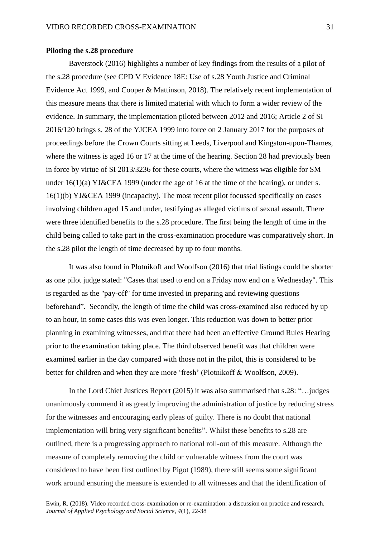# **Piloting the s.28 procedure**

Baverstock (2016) highlights a number of key findings from the results of a pilot of the s.28 procedure (see CPD V Evidence 18E: Use of s.28 Youth Justice and Criminal Evidence Act 1999, and Cooper & Mattinson, 2018). The relatively recent implementation of this measure means that there is limited material with which to form a wider review of the evidence. In summary, the implementation piloted between 2012 and 2016; Article 2 of SI 2016/120 brings s. 28 of the YJCEA 1999 into force on 2 January 2017 for the purposes of proceedings before the Crown Courts sitting at Leeds, Liverpool and Kingston-upon-Thames, where the witness is aged 16 or 17 at the time of the hearing. Section 28 had previously been in force by virtue of SI 2013/3236 for these courts, where the witness was eligible for SM under 16(1)(a) YJ&CEA 1999 (under the age of 16 at the time of the hearing), or under s. 16(1)(b) YJ&CEA 1999 (incapacity). The most recent pilot focussed specifically on cases involving children aged 15 and under, testifying as alleged victims of sexual assault. There were three identified benefits to the s.28 procedure. The first being the length of time in the child being called to take part in the cross-examination procedure was comparatively short. In the s.28 pilot the length of time decreased by up to four months.

It was also found in Plotnikoff and Woolfson (2016) that trial listings could be shorter as one pilot judge stated: "Cases that used to end on a Friday now end on a Wednesday". This is regarded as the "pay-off" for time invested in preparing and reviewing questions beforehand". Secondly, the length of time the child was cross-examined also reduced by up to an hour, in some cases this was even longer. This reduction was down to better prior planning in examining witnesses, and that there had been an effective Ground Rules Hearing prior to the examination taking place. The third observed benefit was that children were examined earlier in the day compared with those not in the pilot, this is considered to be better for children and when they are more 'fresh' (Plotnikoff & Woolfson, 2009).

In the Lord Chief Justices Report (2015) it was also summarised that s.28: "…judges unanimously commend it as greatly improving the administration of justice by reducing stress for the witnesses and encouraging early pleas of guilty. There is no doubt that national implementation will bring very significant benefits". Whilst these benefits to s.28 are outlined, there is a progressing approach to national roll-out of this measure. Although the measure of completely removing the child or vulnerable witness from the court was considered to have been first outlined by Pigot (1989), there still seems some significant work around ensuring the measure is extended to all witnesses and that the identification of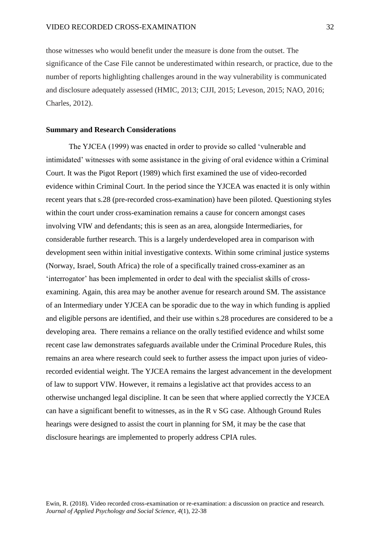those witnesses who would benefit under the measure is done from the outset. The significance of the Case File cannot be underestimated within research, or practice, due to the number of reports highlighting challenges around in the way vulnerability is communicated and disclosure adequately assessed (HMIC, 2013; CJJI, 2015; Leveson, 2015; NAO, 2016; Charles, 2012).

# **Summary and Research Considerations**

The YJCEA (1999) was enacted in order to provide so called 'vulnerable and intimidated' witnesses with some assistance in the giving of oral evidence within a Criminal Court. It was the Pigot Report (1989) which first examined the use of video-recorded evidence within Criminal Court. In the period since the YJCEA was enacted it is only within recent years that s.28 (pre-recorded cross-examination) have been piloted. Questioning styles within the court under cross-examination remains a cause for concern amongst cases involving VIW and defendants; this is seen as an area, alongside Intermediaries, for considerable further research. This is a largely underdeveloped area in comparison with development seen within initial investigative contexts. Within some criminal justice systems (Norway, Israel, South Africa) the role of a specifically trained cross-examiner as an 'interrogator' has been implemented in order to deal with the specialist skills of crossexamining. Again, this area may be another avenue for research around SM. The assistance of an Intermediary under YJCEA can be sporadic due to the way in which funding is applied and eligible persons are identified, and their use within s.28 procedures are considered to be a developing area. There remains a reliance on the orally testified evidence and whilst some recent case law demonstrates safeguards available under the Criminal Procedure Rules, this remains an area where research could seek to further assess the impact upon juries of videorecorded evidential weight. The YJCEA remains the largest advancement in the development of law to support VIW. However, it remains a legislative act that provides access to an otherwise unchanged legal discipline. It can be seen that where applied correctly the YJCEA can have a significant benefit to witnesses, as in the R v SG case. Although Ground Rules hearings were designed to assist the court in planning for SM, it may be the case that disclosure hearings are implemented to properly address CPIA rules.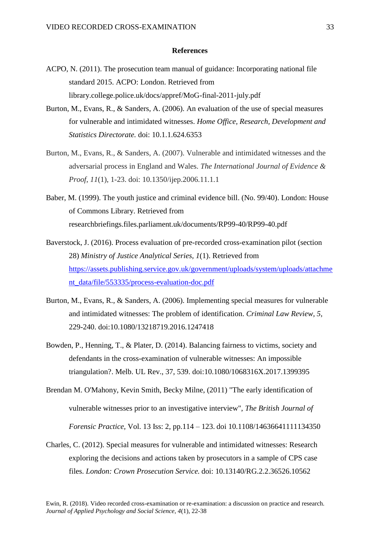# **References**

- ACPO, N. (2011). The prosecution team manual of guidance: Incorporating national file standard 2015. ACPO: London. Retrieved from library.college.police.uk/docs/appref/MoG-final-2011-july.pdf
- Burton, M., Evans, R., & Sanders, A. (2006). An evaluation of the use of special measures for vulnerable and intimidated witnesses. *Home Office, Research, Development and Statistics Directorate.* doi: 10.1.1.624.6353
- Burton, M., Evans, R., & Sanders, A. (2007). Vulnerable and intimidated witnesses and the adversarial process in England and Wales. *The International Journal of Evidence & Proof*, *11*(1), 1-23. doi: 10.1350/ijep.2006.11.1.1
- Baber, M. (1999). The youth justice and criminal evidence bill. (No. 99/40). London: House of Commons Library. Retrieved from researchbriefings.files.parliament.uk/documents/RP99-40/RP99-40.pdf
- Baverstock, J. (2016). Process evaluation of pre-recorded cross-examination pilot (section 28) *Ministry of Justice Analytical Series, 1*(1). Retrieved from [https://assets.publishing.service.gov.uk/government/uploads/system/uploads/attachme](https://assets.publishing.service.gov.uk/government/uploads/system/uploads/attachment_data/file/553335/process-evaluation-doc.pdf) [nt\\_data/file/553335/process-evaluation-doc.pdf](https://assets.publishing.service.gov.uk/government/uploads/system/uploads/attachment_data/file/553335/process-evaluation-doc.pdf)
- Burton, M., Evans, R., & Sanders, A. (2006). Implementing special measures for vulnerable and intimidated witnesses: The problem of identification. *Criminal Law Review, 5,* 229-240. doi:10.1080/13218719.2016.1247418
- Bowden, P., Henning, T., & Plater, D. (2014). Balancing fairness to victims, society and defendants in the cross-examination of vulnerable witnesses: An impossible triangulation?. Melb. UL Rev., 37, 539. doi:10.1080/1068316X.2017.1399395
- Brendan M. O'Mahony, Kevin Smith, Becky Milne, (2011) "The early identification of vulnerable witnesses prior to an investigative interview", *The British Journal of Forensic Practice,* Vol. 13 Iss: 2, pp.114 – 123. doi 10.1108/14636641111134350
- Charles, C. (2012). Special measures for vulnerable and intimidated witnesses: Research exploring the decisions and actions taken by prosecutors in a sample of CPS case files. *London: Crown Prosecution Service.* doi: 10.13140/RG.2.2.36526.10562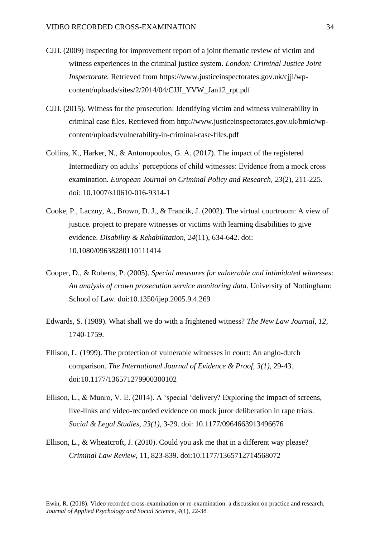- CJJI. (2009) Inspecting for improvement report of a joint thematic review of victim and witness experiences in the criminal justice system*. London: Criminal Justice Joint Inspectorate.* Retrieved from https://www.justiceinspectorates.gov.uk/cjji/wpcontent/uploads/sites/2/2014/04/CJJI\_YVW\_Jan12\_rpt.pdf
- CJJI. (2015). Witness for the prosecution: Identifying victim and witness vulnerability in criminal case files. Retrieved from [http://www.justiceinspectorates.gov.uk/hmic/wp](http://www.justiceinspectorates.gov.uk/hmic/wp-content/uploads/vulnerability-in-criminal-case-files.pdf)[content/uploads/vulnerability-in-criminal-case-files.pdf](http://www.justiceinspectorates.gov.uk/hmic/wp-content/uploads/vulnerability-in-criminal-case-files.pdf)
- Collins, K., Harker, N., & Antonopoulos, G. A. (2017). The impact of the registered Intermediary on adults' perceptions of child witnesses: Evidence from a mock cross examination. *European Journal on Criminal Policy and Research, 23*(2), 211-225. doi: 10.1007/s10610-016-9314-1
- Cooke, P., Laczny, A., Brown, D. J., & Francik, J. (2002). The virtual courtroom: A view of justice. project to prepare witnesses or victims with learning disabilities to give evidence. *Disability & Rehabilitation, 24*(11), 634-642. doi: 10.1080/09638280110111414
- Cooper, D., & Roberts, P. (2005). *Special measures for vulnerable and intimidated witnesses: An analysis of crown prosecution service monitoring data*. University of Nottingham: School of Law. doi:10.1350/ijep.2005.9.4.269
- Edwards, S. (1989). What shall we do with a frightened witness? *The New Law Journal, 12*, 1740-1759.
- Ellison, L. (1999). The protection of vulnerable witnesses in court: An anglo-dutch comparison. *The International Journal of Evidence & Proof, 3(1),* 29-43. doi:10.1177/136571279900300102
- Ellison, L., & Munro, V. E. (2014). A 'special 'delivery? Exploring the impact of screens, live-links and video-recorded evidence on mock juror deliberation in rape trials. *Social & Legal Studies, 23(1),* 3-29. doi: 10.1177/0964663913496676
- Ellison, L., & Wheatcroft, J. (2010). Could you ask me that in a different way please? *Criminal Law Review*, 11, 823-839. doi:10.1177/1365712714568072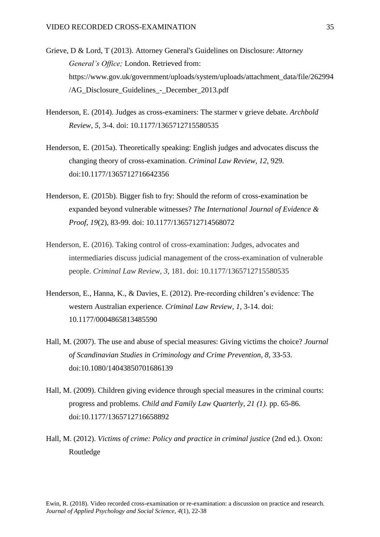- Grieve, D & Lord, T (2013). Attorney General's Guidelines on Disclosure: *Attorney General's Office;* London. Retrieved from: https://www.gov.uk/government/uploads/system/uploads/attachment\_data/file/262994 /AG\_Disclosure\_Guidelines\_-\_December\_2013.pdf
- Henderson, E. (2014). Judges as cross-examiners: The starmer v grieve debate. *Archbold Review, 5*, 3-4. doi: 10.1177/1365712715580535
- Henderson, E. (2015a). Theoretically speaking: English judges and advocates discuss the changing theory of cross-examination. *Criminal Law Review, 12*, 929. doi:10.1177/1365712716642356
- Henderson, E. (2015b). Bigger fish to fry: Should the reform of cross-examination be expanded beyond vulnerable witnesses? *The International Journal of Evidence & Proof, 19*(2), 83-99. doi: 10.1177/1365712714568072
- Henderson, E. (2016). Taking control of cross-examination: Judges, advocates and intermediaries discuss judicial management of the cross-examination of vulnerable people. *Criminal Law Review*, *3*, 181. doi: 10.1177/1365712715580535
- Henderson, E., Hanna, K., & Davies, E. (2012). Pre-recording children's evidence: The western Australian experience. *Criminal Law Review, 1*, 3-14. doi: 10.1177/0004865813485590
- Hall, M. (2007). The use and abuse of special measures: Giving victims the choice? *Journal of Scandinavian Studies in Criminology and Crime Prevention, 8,* 33-53. doi:10.1080/14043850701686139
- Hall, M. (2009). Children giving evidence through special measures in the criminal courts: progress and problems. *Child and Family Law Quarterly, 21 (1).* pp. 65-86. doi:10.1177/1365712716658892
- Hall, M. (2012). *Victims of crime: Policy and practice in criminal justice* (2nd ed.). Oxon: Routledge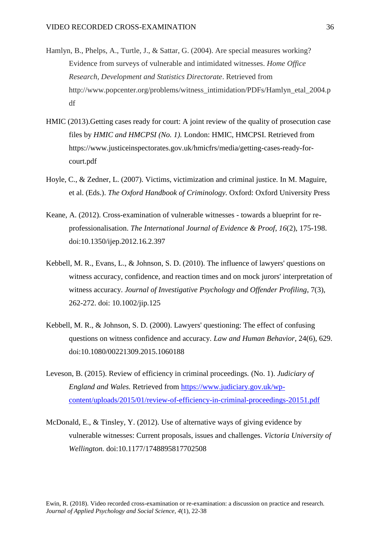- Hamlyn, B., Phelps, A., Turtle, J., & Sattar, G. (2004). Are special measures working? Evidence from surveys of vulnerable and intimidated witnesses. *Home Office Research, Development and Statistics Directorate*. Retrieved from http://www.popcenter.org/problems/witness\_intimidation/PDFs/Hamlyn\_etal\_2004.p df
- HMIC (2013).Getting cases ready for court: A joint review of the quality of prosecution case files by *HMIC and HMCPSI (No. 1).* London: HMIC, HMCPSI. Retrieved from https://www.justiceinspectorates.gov.uk/hmicfrs/media/getting-cases-ready-forcourt.pdf
- Hoyle, C., & Zedner, L. (2007). Victims, victimization and criminal justice. In M. Maguire, et al. (Eds.). *The Oxford Handbook of Criminology.* Oxford: Oxford University Press
- Keane, A. (2012). Cross-examination of vulnerable witnesses towards a blueprint for reprofessionalisation. *The International Journal of Evidence & Proof*, *16*(2), 175-198. doi:10.1350/ijep.2012.16.2.397
- Kebbell, M. R., Evans, L., & Johnson, S. D. (2010). The influence of lawyers' questions on witness accuracy, confidence, and reaction times and on mock jurors' interpretation of witness accuracy. *Journal of Investigative Psychology and Offender Profiling*, 7(3), 262-272. doi: 10.1002/jip.125
- Kebbell, M. R., & Johnson, S. D. (2000). Lawyers' questioning: The effect of confusing questions on witness confidence and accuracy. *Law and Human Behavior*, 24(6), 629. doi:10.1080/00221309.2015.1060188
- Leveson, B. (2015). Review of efficiency in criminal proceedings*.* (No. 1). *Judiciary of England and Wales.* Retrieved from [https://www.judiciary.gov.uk/wp](https://www.judiciary.gov.uk/wp-content/uploads/2015/01/review-of-efficiency-in-criminal-proceedings-20151.pdf)[content/uploads/2015/01/review-of-efficiency-in-criminal-proceedings-20151.pdf](https://www.judiciary.gov.uk/wp-content/uploads/2015/01/review-of-efficiency-in-criminal-proceedings-20151.pdf)
- McDonald, E., & Tinsley, Y. (2012). Use of alternative ways of giving evidence by vulnerable witnesses: Current proposals, issues and challenges. *Victoria University of Wellington.* doi:10.1177/1748895817702508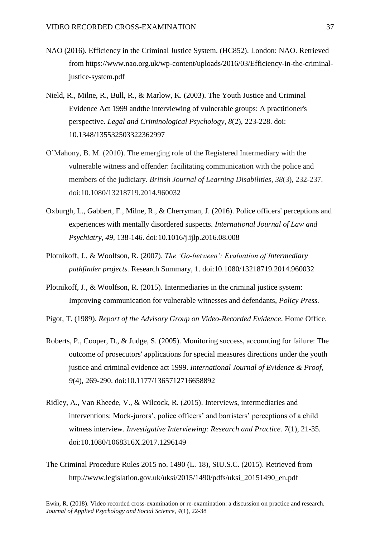- NAO (2016). Efficiency in the Criminal Justice System. (HC852). London: NAO. Retrieved from https://www.nao.org.uk/wp-content/uploads/2016/03/Efficiency-in-the-criminaljustice-system.pdf
- Nield, R., Milne, R., Bull, R., & Marlow, K. (2003). The Youth Justice and Criminal Evidence Act 1999 andthe interviewing of vulnerable groups: A practitioner's perspective. *Legal and Criminological Psychology, 8*(2), 223-228. doi: 10.1348/135532503322362997
- O'Mahony, B. M. (2010). The emerging role of the Registered Intermediary with the vulnerable witness and offender: facilitating communication with the police and members of the judiciary. *British Journal of Learning Disabilities*, *38*(3), 232-237. doi:10.1080/13218719.2014.960032
- Oxburgh, L., Gabbert, F., Milne, R., & Cherryman, J. (2016). Police officers' perceptions and experiences with mentally disordered suspects. *International Journal of Law and Psychiatry, 49,* 138-146. doi:10.1016/j.ijlp.2016.08.008
- Plotnikoff, J., & Woolfson, R. (2007). *The 'Go-between': Evaluation of Intermediary pathfinder projects.* Research Summary, 1. doi:10.1080/13218719.2014.960032
- Plotnikoff, J., & Woolfson, R. (2015). Intermediaries in the criminal justice system: Improving communication for vulnerable witnesses and defendants, *Policy Press.*
- Pigot, T. (1989). *Report of the Advisory Group on Video-Recorded Evidence*. Home Office.
- Roberts, P., Cooper, D., & Judge, S. (2005). Monitoring success, accounting for failure: The outcome of prosecutors' applications for special measures directions under the youth justice and criminal evidence act 1999. *International Journal of Evidence & Proof, 9*(4), 269-290. doi:10.1177/1365712716658892
- Ridley, A., Van Rheede, V., & Wilcock, R. (2015). Interviews, intermediaries and interventions: Mock-jurors', police officers' and barristers' perceptions of a child witness interview. *Investigative Interviewing: Research and Practice. 7*(1), 21-35. doi:10.1080/1068316X.2017.1296149
- The Criminal Procedure Rules 2015 no. 1490 (L. 18), SIU.S.C. (2015). Retrieved from [http://www.legislation.gov.uk/uksi/2015/1490/pdfs/uksi\\_20151490\\_en.pdf](http://www.legislation.gov.uk/uksi/2015/1490/pdfs/uksi_20151490_en.pdf)